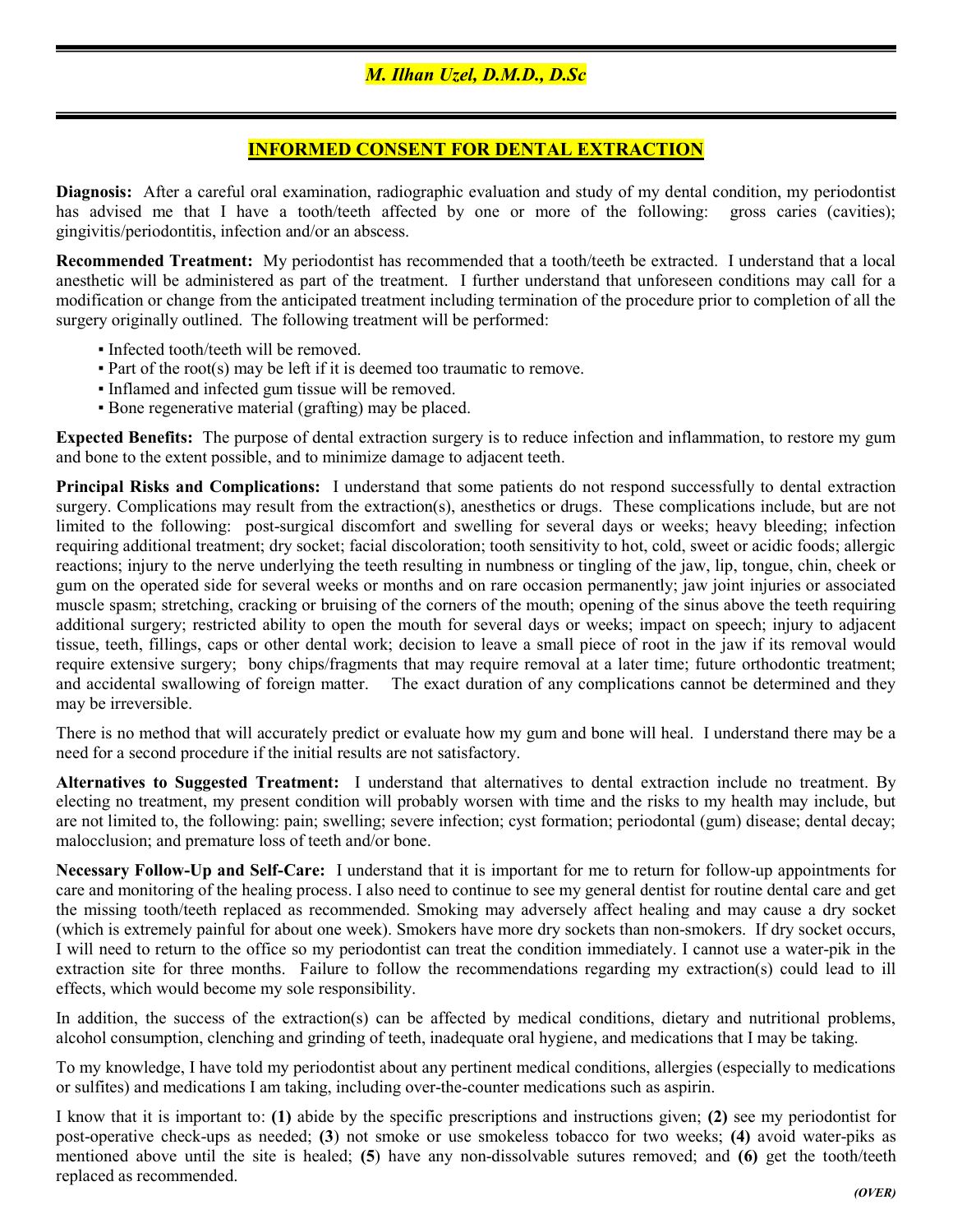# INFORMED CONSENT FOR DENTAL EXTRACTION

Diagnosis: After a careful oral examination, radiographic evaluation and study of my dental condition, my periodontist has advised me that I have a tooth/teeth affected by one or more of the following: gross caries (cavities); gingivitis/periodontitis, infection and/or an abscess.

Recommended Treatment: My periodontist has recommended that a tooth/teeth be extracted. I understand that a local anesthetic will be administered as part of the treatment. I further understand that unforeseen conditions may call for a modification or change from the anticipated treatment including termination of the procedure prior to completion of all the surgery originally outlined. The following treatment will be performed:

- Infected tooth/teeth will be removed.
- $\blacksquare$  Part of the root(s) may be left if it is deemed too traumatic to remove.
- Inflamed and infected gum tissue will be removed.
- Bone regenerative material (grafting) may be placed.

Expected Benefits: The purpose of dental extraction surgery is to reduce infection and inflammation, to restore my gum and bone to the extent possible, and to minimize damage to adjacent teeth.

Principal Risks and Complications: I understand that some patients do not respond successfully to dental extraction surgery. Complications may result from the extraction(s), anesthetics or drugs. These complications include, but are not limited to the following: post-surgical discomfort and swelling for several days or weeks; heavy bleeding; infection requiring additional treatment; dry socket; facial discoloration; tooth sensitivity to hot, cold, sweet or acidic foods; allergic reactions; injury to the nerve underlying the teeth resulting in numbness or tingling of the jaw, lip, tongue, chin, cheek or gum on the operated side for several weeks or months and on rare occasion permanently; jaw joint injuries or associated muscle spasm; stretching, cracking or bruising of the corners of the mouth; opening of the sinus above the teeth requiring additional surgery; restricted ability to open the mouth for several days or weeks; impact on speech; injury to adjacent tissue, teeth, fillings, caps or other dental work; decision to leave a small piece of root in the jaw if its removal would require extensive surgery; bony chips/fragments that may require removal at a later time; future orthodontic treatment; and accidental swallowing of foreign matter. The exact duration of any complications cannot be determined and they may be irreversible.

There is no method that will accurately predict or evaluate how my gum and bone will heal. I understand there may be a need for a second procedure if the initial results are not satisfactory.

Alternatives to Suggested Treatment: I understand that alternatives to dental extraction include no treatment. By electing no treatment, my present condition will probably worsen with time and the risks to my health may include, but are not limited to, the following: pain; swelling; severe infection; cyst formation; periodontal (gum) disease; dental decay; malocclusion; and premature loss of teeth and/or bone.

Necessary Follow-Up and Self-Care: I understand that it is important for me to return for follow-up appointments for care and monitoring of the healing process. I also need to continue to see my general dentist for routine dental care and get the missing tooth/teeth replaced as recommended. Smoking may adversely affect healing and may cause a dry socket (which is extremely painful for about one week). Smokers have more dry sockets than non-smokers. If dry socket occurs, I will need to return to the office so my periodontist can treat the condition immediately. I cannot use a water-pik in the extraction site for three months. Failure to follow the recommendations regarding my extraction(s) could lead to ill effects, which would become my sole responsibility.

In addition, the success of the extraction(s) can be affected by medical conditions, dietary and nutritional problems, alcohol consumption, clenching and grinding of teeth, inadequate oral hygiene, and medications that I may be taking.

To my knowledge, I have told my periodontist about any pertinent medical conditions, allergies (especially to medications or sulfites) and medications I am taking, including over-the-counter medications such as aspirin.

I know that it is important to: (1) abide by the specific prescriptions and instructions given; (2) see my periodontist for post-operative check-ups as needed; (3) not smoke or use smokeless tobacco for two weeks; (4) avoid water-piks as mentioned above until the site is healed; (5) have any non-dissolvable sutures removed; and (6) get the tooth/teeth replaced as recommended.